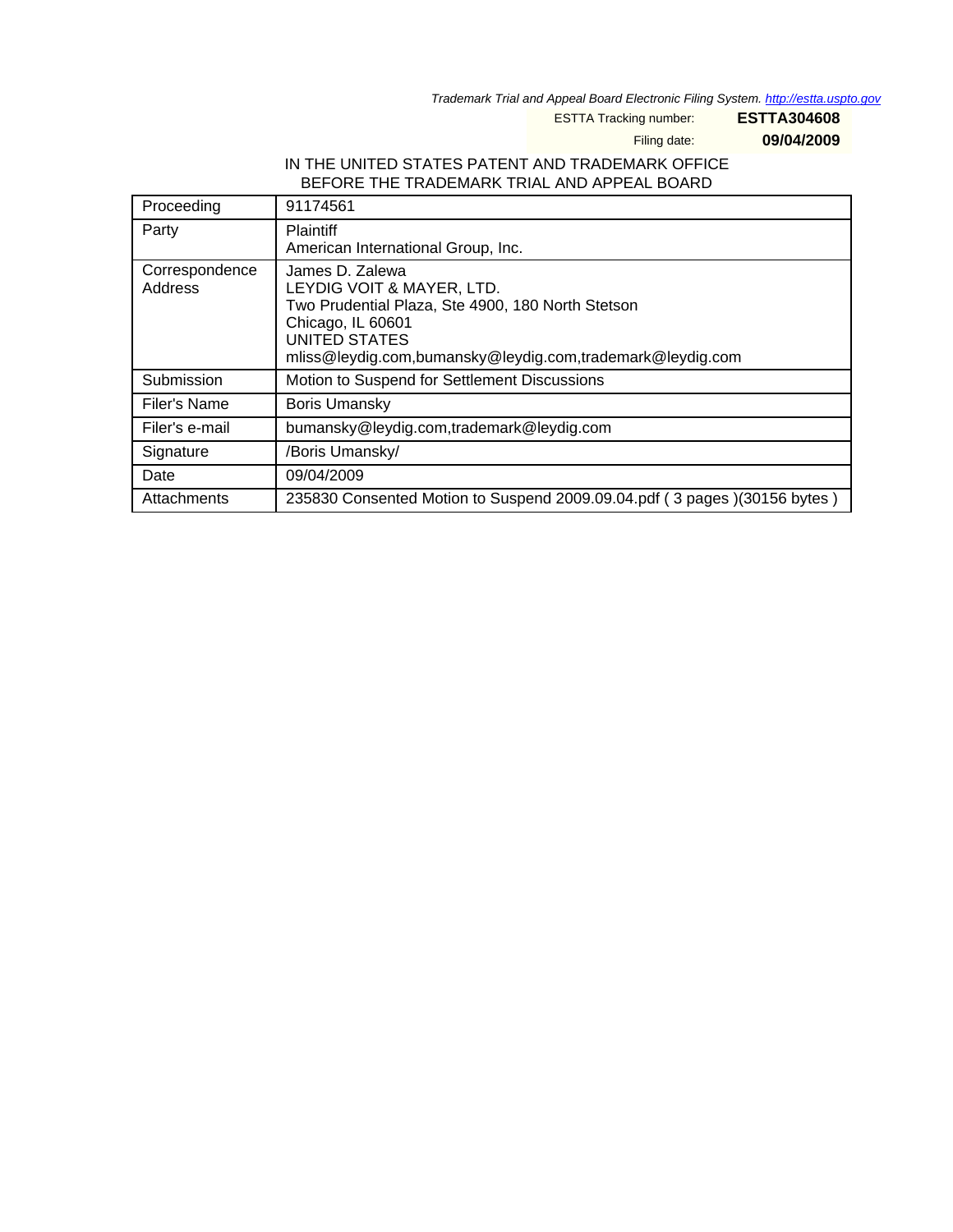Trademark Trial and Appeal Board Electronic Filing System. <http://estta.uspto.gov>

ESTTA Tracking number: **ESTTA304608**

Filing date: **09/04/2009**

## IN THE UNITED STATES PATENT AND TRADEMARK OFFICE BEFORE THE TRADEMARK TRIAL AND APPEAL BOARD

| Proceeding                | 91174561                                                                                                                                                                                             |
|---------------------------|------------------------------------------------------------------------------------------------------------------------------------------------------------------------------------------------------|
| Party                     | <b>Plaintiff</b><br>American International Group, Inc.                                                                                                                                               |
| Correspondence<br>Address | James D. Zalewa<br>LEYDIG VOIT & MAYER, LTD.<br>Two Prudential Plaza, Ste 4900, 180 North Stetson<br>Chicago, IL 60601<br>UNITED STATES<br>mliss@leydig.com,bumansky@leydig.com,trademark@leydig.com |
| Submission                | Motion to Suspend for Settlement Discussions                                                                                                                                                         |
| Filer's Name              | <b>Boris Umansky</b>                                                                                                                                                                                 |
| Filer's e-mail            | bumansky@leydig.com,trademark@leydig.com                                                                                                                                                             |
| Signature                 | /Boris Umansky/                                                                                                                                                                                      |
| Date                      | 09/04/2009                                                                                                                                                                                           |
| Attachments               | 235830 Consented Motion to Suspend 2009.09.04.pdf (3 pages)(30156 bytes)                                                                                                                             |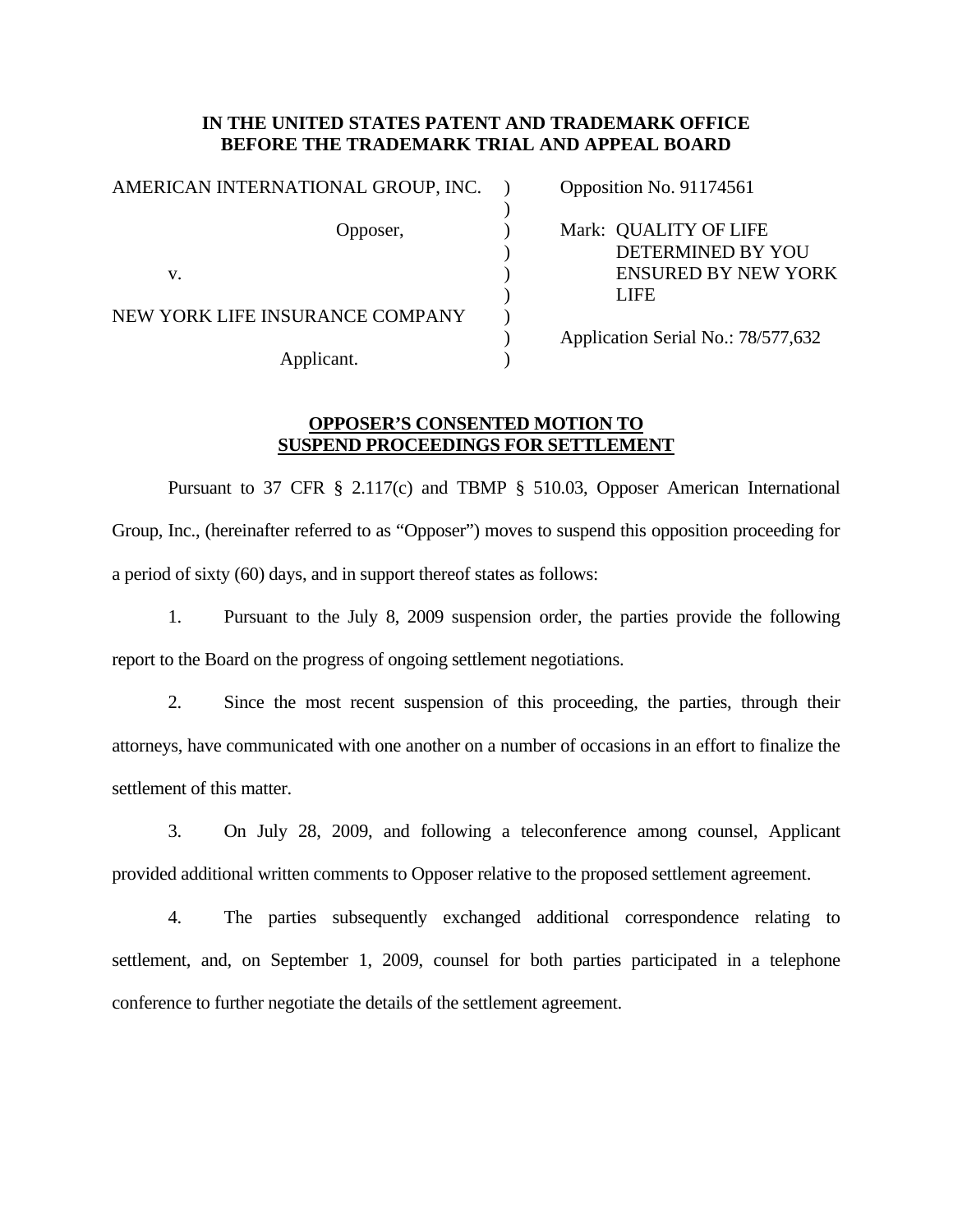## **IN THE UNITED STATES PATENT AND TRADEMARK OFFICE BEFORE THE TRADEMARK TRIAL AND APPEAL BOARD**

| AMERICAN INTERNATIONAL GROUP, INC. |  | Opposition No. 91174561                    |  |
|------------------------------------|--|--------------------------------------------|--|
| Opposer,                           |  | Mark: QUALITY OF LIFE<br>DETERMINED BY YOU |  |
| V.                                 |  | <b>ENSURED BY NEW YORK</b><br><b>LIFE</b>  |  |
| NEW YORK LIFE INSURANCE COMPANY    |  | Application Serial No.: 78/577,632         |  |
| Applicant.                         |  |                                            |  |

## **OPPOSER'S CONSENTED MOTION TO SUSPEND PROCEEDINGS FOR SETTLEMENT**

 Pursuant to 37 CFR § 2.117(c) and TBMP § 510.03, Opposer American International Group, Inc., (hereinafter referred to as "Opposer") moves to suspend this opposition proceeding for a period of sixty (60) days, and in support thereof states as follows:

1. Pursuant to the July 8, 2009 suspension order, the parties provide the following report to the Board on the progress of ongoing settlement negotiations.

2. Since the most recent suspension of this proceeding, the parties, through their attorneys, have communicated with one another on a number of occasions in an effort to finalize the settlement of this matter.

3. On July 28, 2009, and following a teleconference among counsel, Applicant provided additional written comments to Opposer relative to the proposed settlement agreement.

4. The parties subsequently exchanged additional correspondence relating to settlement, and, on September 1, 2009, counsel for both parties participated in a telephone conference to further negotiate the details of the settlement agreement.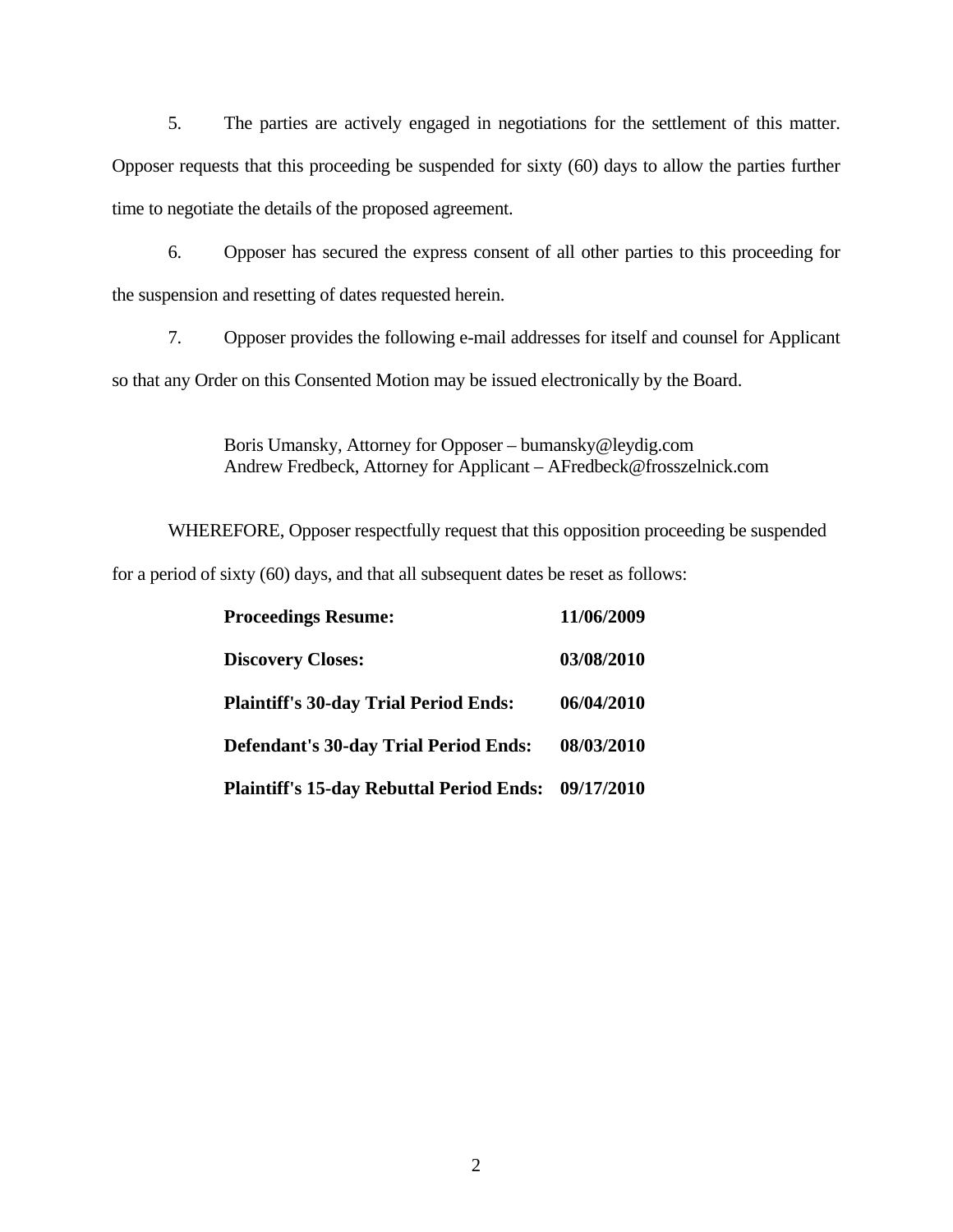5. The parties are actively engaged in negotiations for the settlement of this matter. Opposer requests that this proceeding be suspended for sixty (60) days to allow the parties further time to negotiate the details of the proposed agreement.

6. Opposer has secured the express consent of all other parties to this proceeding for the suspension and resetting of dates requested herein.

7. Opposer provides the following e-mail addresses for itself and counsel for Applicant so that any Order on this Consented Motion may be issued electronically by the Board.

> Boris Umansky, Attorney for Opposer – bumansky@leydig.com Andrew Fredbeck, Attorney for Applicant – AFredbeck@frosszelnick.com

WHEREFORE, Opposer respectfully request that this opposition proceeding be suspended

for a period of sixty (60) days, and that all subsequent dates be reset as follows:

| <b>Proceedings Resume:</b>                          | 11/06/2009 |
|-----------------------------------------------------|------------|
| <b>Discovery Closes:</b>                            | 03/08/2010 |
| <b>Plaintiff's 30-day Trial Period Ends:</b>        | 06/04/2010 |
| <b>Defendant's 30-day Trial Period Ends:</b>        | 08/03/2010 |
| Plaintiff's 15-day Rebuttal Period Ends: 09/17/2010 |            |